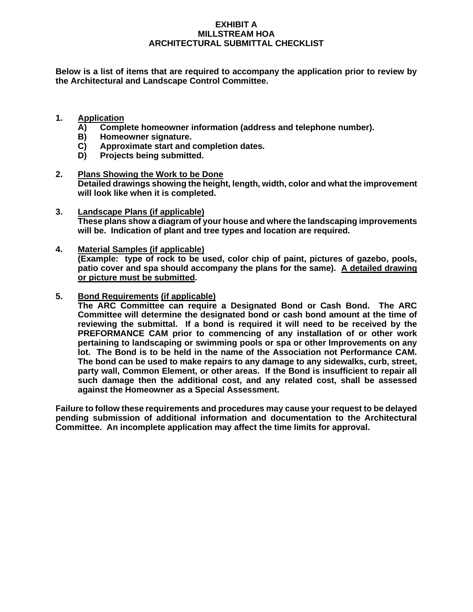## **EXHIBIT A MILLSTREAM HOA ARCHITECTURAL SUBMITTAL CHECKLIST**

**Below is a list of items that are required to accompany the application prior to review by the Architectural and Landscape Control Committee.**

- **1. Application**
	- **A) Complete homeowner information (address and telephone number).**
	- **B) Homeowner signature.**
	- **C) Approximate start and completion dates.**
	- **D) Projects being submitted.**
- **2. Plans Showing the Work to be Done Detailed drawings showing the height, length, width, color and what the improvement will look like when it is completed.**
- **3. Landscape Plans (if applicable) These plans show a diagram of your house and where the landscaping improvements will be. Indication of plant and tree types and location are required.**
- **4. Material Samples (if applicable) (Example: type of rock to be used, color chip of paint, pictures of gazebo, pools, patio cover and spa should accompany the plans for the same). A detailed drawing or picture must be submitted.**
- **5. Bond Requirements (if applicable)**

**The ARC Committee can require a Designated Bond or Cash Bond. The ARC Committee will determine the designated bond or cash bond amount at the time of reviewing the submittal. If a bond is required it will need to be received by the PREFORMANCE CAM prior to commencing of any installation of or other work pertaining to landscaping or swimming pools or spa or other Improvements on any lot. The Bond is to be held in the name of the Association not Performance CAM. The bond can be used to make repairs to any damage to any sidewalks, curb, street, party wall, Common Element, or other areas. If the Bond is insufficient to repair all such damage then the additional cost, and any related cost, shall be assessed against the Homeowner as a Special Assessment.**

**Failure to follow these requirements and procedures may cause your request to be delayed pending submission of additional information and documentation to the Architectural Committee. An incomplete application may affect the time limits for approval.**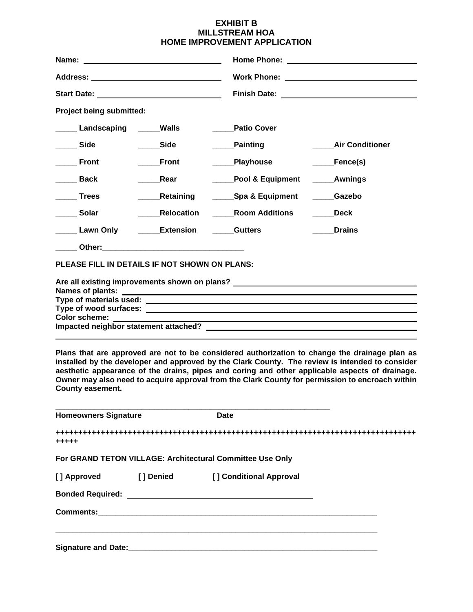#### **EXHIBIT B MILLSTREAM HOA HOME IMPROVEMENT APPLICATION**

| Project being submitted:                                                                   |                          |                       |                                               |
|--------------------------------------------------------------------------------------------|--------------------------|-----------------------|-----------------------------------------------|
| <b>Landscaping Carry Walls</b>                                                             |                          | <b>Patio Cover</b>    |                                               |
| <b>Side</b>                                                                                | <b>Side</b>              | <b>Painting</b>       | <b>Air Conditioner</b>                        |
| <b>Front</b>                                                                               | <b>Front</b>             | _____Playhouse        | _____Fence(s)                                 |
| <b>Back</b>                                                                                | Rear                     | Pool & Equipment      | <b>Example 2</b> Awnings                      |
| <b>Trees</b>                                                                               | <b>Netaining</b>         | ______Spa & Equipment | Gazebo                                        |
| <b>Solar</b>                                                                               | Relocation               | <b>Room Additions</b> | <b>Deck</b>                                   |
| Lawn Only                                                                                  | <b>Extension</b> Gutters |                       | <b>Drains</b>                                 |
|                                                                                            |                          |                       |                                               |
| PLEASE FILL IN DETAILS IF NOT SHOWN ON PLANS:                                              |                          |                       |                                               |
|                                                                                            |                          |                       | Are all existing improvements shown on plans? |
|                                                                                            |                          |                       |                                               |
|                                                                                            |                          |                       |                                               |
| Color scheme: _____________<br><u> 1989 - Johann Stoff, amerikansk politiker (d. 1989)</u> |                          |                       |                                               |
|                                                                                            |                          |                       |                                               |

**Plans that are approved are not to be considered authorization to change the drainage plan as installed by the developer and approved by the Clark County. The review is intended to consider aesthetic appearance of the drains, pipes and coring and other applicable aspects of drainage. Owner may also need to acquire approval from the Clark County for permission to encroach within County easement.**

| <b>Homeowners Signature</b> | Date                                                                                                                                                                                                                                 |  |
|-----------------------------|--------------------------------------------------------------------------------------------------------------------------------------------------------------------------------------------------------------------------------------|--|
| $+ + + + +$                 |                                                                                                                                                                                                                                      |  |
|                             | For GRAND TETON VILLAGE: Architectural Committee Use Only                                                                                                                                                                            |  |
| [] Approved [] Denied       | [ ] Conditional Approval                                                                                                                                                                                                             |  |
|                             | Bonded Required: <u>Department of the Secretary Condensity of the Secretary Condensity Condensity Condensity Condensity Condensity Condensity Condensity Condensity Condensity Condensity Condensity Condensity Condensity Conde</u> |  |
|                             |                                                                                                                                                                                                                                      |  |
|                             |                                                                                                                                                                                                                                      |  |
| <b>Signature and Date:</b>  |                                                                                                                                                                                                                                      |  |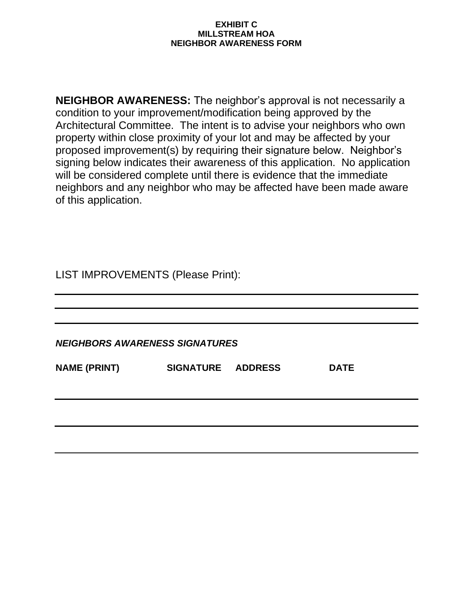### **EXHIBIT C MILLSTREAM HOA NEIGHBOR AWARENESS FORM**

**NEIGHBOR AWARENESS:** The neighbor's approval is not necessarily a condition to your improvement/modification being approved by the Architectural Committee. The intent is to advise your neighbors who own property within close proximity of your lot and may be affected by your proposed improvement(s) by requiring their signature below. Neighbor's signing below indicates their awareness of this application. No application will be considered complete until there is evidence that the immediate neighbors and any neighbor who may be affected have been made aware of this application.

LIST IMPROVEMENTS (Please Print):

*NEIGHBORS AWARENESS SIGNATURES*

| <b>NAME (PRINT)</b> | SIGNATURE ADDRESS | <b>DATE</b> |
|---------------------|-------------------|-------------|
|                     |                   |             |
|                     |                   |             |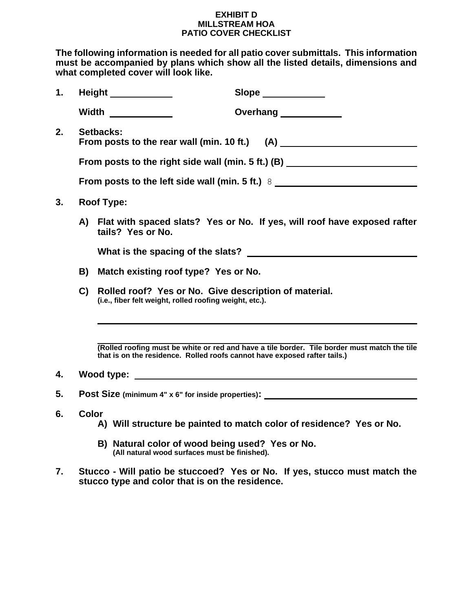### **EXHIBIT D MILLSTREAM HOA PATIO COVER CHECKLIST**

**The following information is needed for all patio cover submittals. This information must be accompanied by plans which show all the listed details, dimensions and what completed cover will look like.**

| 1. | <b>Height ____________</b> |                                                                                                                  |                                                                                                  | Slope __________                                                                                                                                                                                                                    |  |
|----|----------------------------|------------------------------------------------------------------------------------------------------------------|--------------------------------------------------------------------------------------------------|-------------------------------------------------------------------------------------------------------------------------------------------------------------------------------------------------------------------------------------|--|
|    |                            | Width $\qquad \qquad \qquad$                                                                                     |                                                                                                  | Overhang ____________                                                                                                                                                                                                               |  |
| 2. | Setbacks:                  |                                                                                                                  |                                                                                                  |                                                                                                                                                                                                                                     |  |
|    |                            | From posts to the right side wall (min. 5 ft.) (B) _____________________________                                 |                                                                                                  |                                                                                                                                                                                                                                     |  |
|    |                            | From posts to the left side wall (min. 5 ft.) 8                                                                  |                                                                                                  |                                                                                                                                                                                                                                     |  |
| 3. |                            | <b>Roof Type:</b>                                                                                                |                                                                                                  |                                                                                                                                                                                                                                     |  |
|    |                            | tails? Yes or No.                                                                                                |                                                                                                  | A) Flat with spaced slats? Yes or No. If yes, will roof have exposed rafter                                                                                                                                                         |  |
|    |                            |                                                                                                                  |                                                                                                  |                                                                                                                                                                                                                                     |  |
|    | B)                         | Match existing roof type? Yes or No.                                                                             |                                                                                                  |                                                                                                                                                                                                                                     |  |
|    | C)                         | Rolled roof? Yes or No. Give description of material.<br>(i.e., fiber felt weight, rolled roofing weight, etc.). |                                                                                                  |                                                                                                                                                                                                                                     |  |
|    |                            |                                                                                                                  |                                                                                                  | (Rolled roofing must be white or red and have a tile border. Tile border must match the tile<br>that is on the residence. Rolled roofs cannot have exposed rafter tails.)                                                           |  |
| 4. |                            |                                                                                                                  |                                                                                                  | <b>Wood type:</b> when the contract of the contract of the contract of the contract of the contract of the contract of the contract of the contract of the contract of the contract of the contract of the contract of the contract |  |
| 5. |                            |                                                                                                                  |                                                                                                  | Post Size (minimum 4" x 6" for inside properties):                                                                                                                                                                                  |  |
| 6. | <b>Color</b>               |                                                                                                                  |                                                                                                  | A) Will structure be painted to match color of residence? Yes or No.                                                                                                                                                                |  |
|    |                            |                                                                                                                  | B) Natural color of wood being used? Yes or No.<br>(All natural wood surfaces must be finished). |                                                                                                                                                                                                                                     |  |

**7. Stucco - Will patio be stuccoed? Yes or No. If yes, stucco must match the stucco type and color that is on the residence.**